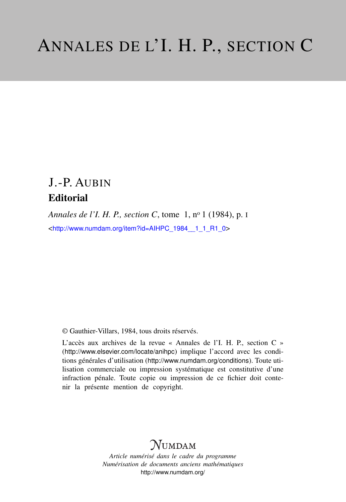## J.-P. AUBIN **Editorial**

*Annales de l'I. H. P., section C*, tome 1, n<sup>o</sup> 1 (1984), p. I <[http://www.numdam.org/item?id=AIHPC\\_1984\\_\\_1\\_1\\_R1\\_0](http://www.numdam.org/item?id=AIHPC_1984__1_1_R1_0)>

© Gauthier-Villars, 1984, tous droits réservés.

L'accès aux archives de la revue « Annales de l'I. H. P., section C » (<http://www.elsevier.com/locate/anihpc>) implique l'accord avec les conditions générales d'utilisation (<http://www.numdam.org/conditions>). Toute utilisation commerciale ou impression systématique est constitutive d'une infraction pénale. Toute copie ou impression de ce fichier doit contenir la présente mention de copyright.

## **NUMDAM**

*Article numérisé dans le cadre du programme Numérisation de documents anciens mathématiques* <http://www.numdam.org/>